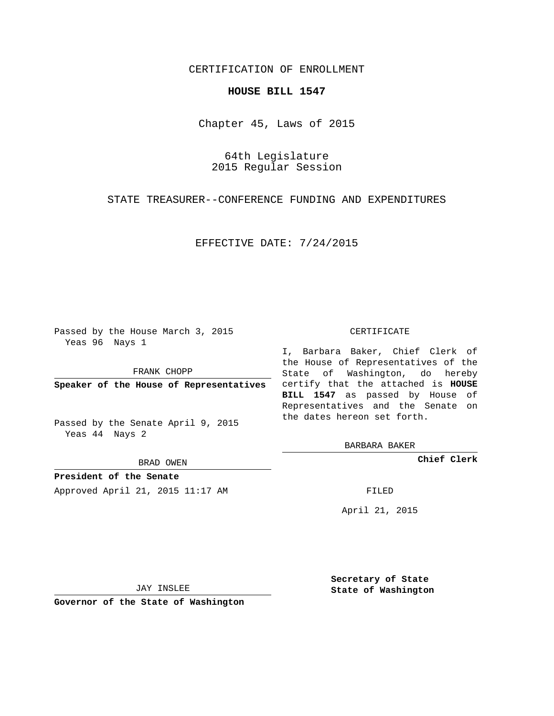## CERTIFICATION OF ENROLLMENT

## **HOUSE BILL 1547**

Chapter 45, Laws of 2015

64th Legislature 2015 Regular Session

STATE TREASURER--CONFERENCE FUNDING AND EXPENDITURES

EFFECTIVE DATE: 7/24/2015

Passed by the House March 3, 2015 Yeas 96 Nays 1

FRANK CHOPP

Passed by the Senate April 9, 2015 Yeas 44 Nays 2

BRAD OWEN

**President of the Senate**

Approved April 21, 2015 11:17 AM FILED

## CERTIFICATE

**Speaker of the House of Representatives** certify that the attached is **HOUSE** I, Barbara Baker, Chief Clerk of the House of Representatives of the State of Washington, do hereby **BILL 1547** as passed by House of Representatives and the Senate on the dates hereon set forth.

BARBARA BAKER

**Chief Clerk**

April 21, 2015

JAY INSLEE

**Governor of the State of Washington**

**Secretary of State State of Washington**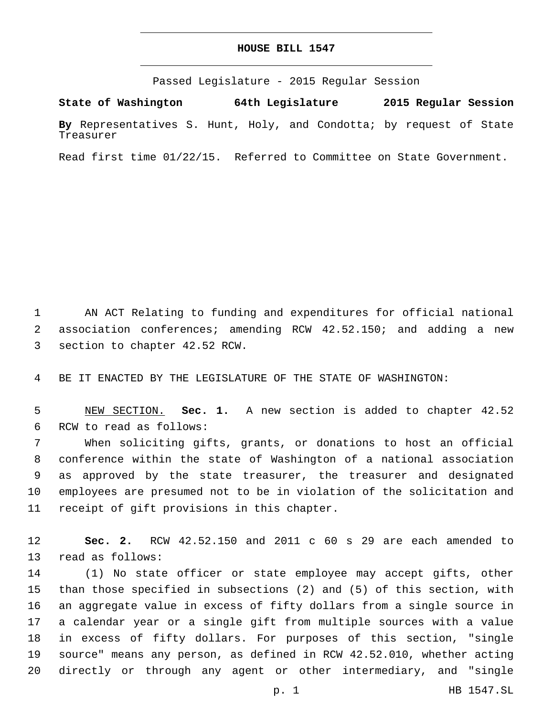## **HOUSE BILL 1547**

Passed Legislature - 2015 Regular Session

**State of Washington 64th Legislature 2015 Regular Session By** Representatives S. Hunt, Holy, and Condotta; by request of State Treasurer

Read first time 01/22/15. Referred to Committee on State Government.

1 AN ACT Relating to funding and expenditures for official national 2 association conferences; amending RCW 42.52.150; and adding a new 3 section to chapter 42.52 RCW.

4 BE IT ENACTED BY THE LEGISLATURE OF THE STATE OF WASHINGTON:

5 NEW SECTION. **Sec. 1.** A new section is added to chapter 42.52 6 RCW to read as follows:

 When soliciting gifts, grants, or donations to host an official conference within the state of Washington of a national association as approved by the state treasurer, the treasurer and designated employees are presumed not to be in violation of the solicitation and 11 receipt of gift provisions in this chapter.

12 **Sec. 2.** RCW 42.52.150 and 2011 c 60 s 29 are each amended to 13 read as follows:

 (1) No state officer or state employee may accept gifts, other than those specified in subsections (2) and (5) of this section, with an aggregate value in excess of fifty dollars from a single source in a calendar year or a single gift from multiple sources with a value in excess of fifty dollars. For purposes of this section, "single source" means any person, as defined in RCW 42.52.010, whether acting directly or through any agent or other intermediary, and "single

p. 1 HB 1547.SL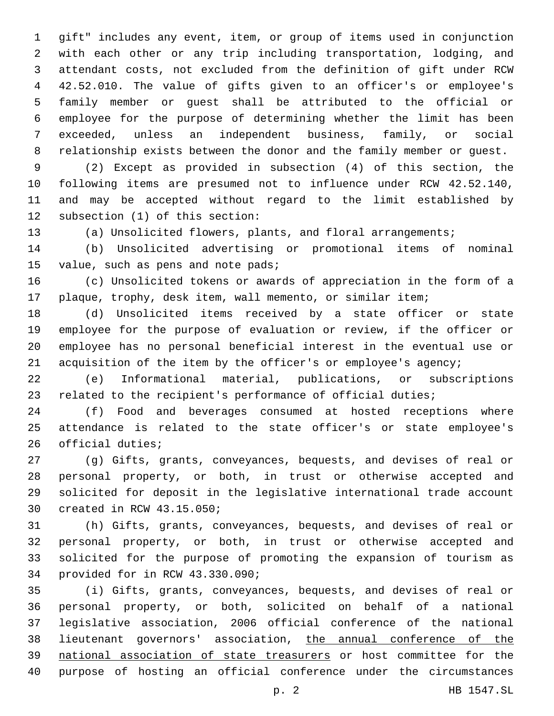gift" includes any event, item, or group of items used in conjunction with each other or any trip including transportation, lodging, and attendant costs, not excluded from the definition of gift under RCW 42.52.010. The value of gifts given to an officer's or employee's family member or guest shall be attributed to the official or employee for the purpose of determining whether the limit has been exceeded, unless an independent business, family, or social relationship exists between the donor and the family member or guest.

 (2) Except as provided in subsection (4) of this section, the following items are presumed not to influence under RCW 42.52.140, and may be accepted without regard to the limit established by 12 subsection (1) of this section:

(a) Unsolicited flowers, plants, and floral arrangements;

 (b) Unsolicited advertising or promotional items of nominal 15 value, such as pens and note pads;

 (c) Unsolicited tokens or awards of appreciation in the form of a plaque, trophy, desk item, wall memento, or similar item;

 (d) Unsolicited items received by a state officer or state employee for the purpose of evaluation or review, if the officer or employee has no personal beneficial interest in the eventual use or acquisition of the item by the officer's or employee's agency;

 (e) Informational material, publications, or subscriptions related to the recipient's performance of official duties;

 (f) Food and beverages consumed at hosted receptions where attendance is related to the state officer's or state employee's 26 official duties;

 (g) Gifts, grants, conveyances, bequests, and devises of real or personal property, or both, in trust or otherwise accepted and solicited for deposit in the legislative international trade account 30 created in RCW 43.15.050;

 (h) Gifts, grants, conveyances, bequests, and devises of real or personal property, or both, in trust or otherwise accepted and solicited for the purpose of promoting the expansion of tourism as 34 provided for in RCW 43.330.090;

 (i) Gifts, grants, conveyances, bequests, and devises of real or personal property, or both, solicited on behalf of a national legislative association, 2006 official conference of the national lieutenant governors' association, the annual conference of the national association of state treasurers or host committee for the purpose of hosting an official conference under the circumstances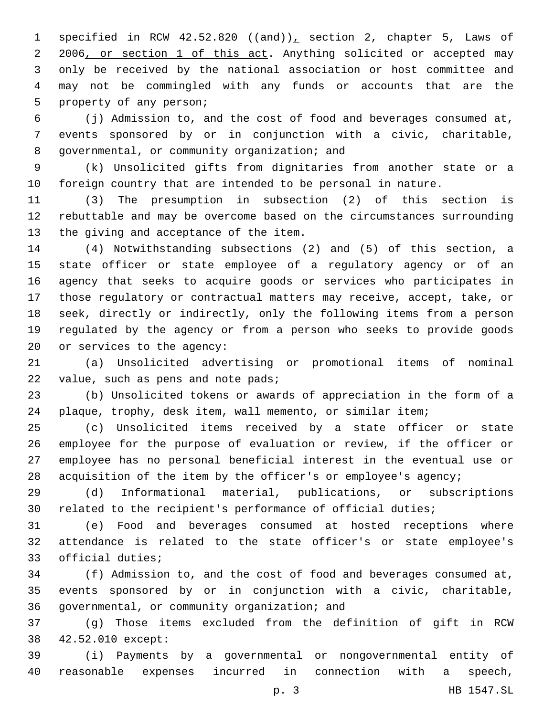1 specified in RCW  $42.52.820$  ((and)), section 2, chapter 5, Laws of 2 2006, or section 1 of this act. Anything solicited or accepted may only be received by the national association or host committee and may not be commingled with any funds or accounts that are the 5 property of any person;

 (j) Admission to, and the cost of food and beverages consumed at, events sponsored by or in conjunction with a civic, charitable, 8 governmental, or community organization; and

 (k) Unsolicited gifts from dignitaries from another state or a foreign country that are intended to be personal in nature.

 (3) The presumption in subsection (2) of this section is rebuttable and may be overcome based on the circumstances surrounding 13 the giving and acceptance of the item.

 (4) Notwithstanding subsections (2) and (5) of this section, a state officer or state employee of a regulatory agency or of an agency that seeks to acquire goods or services who participates in those regulatory or contractual matters may receive, accept, take, or seek, directly or indirectly, only the following items from a person regulated by the agency or from a person who seeks to provide goods 20 or services to the agency:

 (a) Unsolicited advertising or promotional items of nominal 22 value, such as pens and note pads;

 (b) Unsolicited tokens or awards of appreciation in the form of a plaque, trophy, desk item, wall memento, or similar item;

 (c) Unsolicited items received by a state officer or state employee for the purpose of evaluation or review, if the officer or employee has no personal beneficial interest in the eventual use or acquisition of the item by the officer's or employee's agency;

 (d) Informational material, publications, or subscriptions related to the recipient's performance of official duties;

 (e) Food and beverages consumed at hosted receptions where attendance is related to the state officer's or state employee's 33 official duties;

 (f) Admission to, and the cost of food and beverages consumed at, events sponsored by or in conjunction with a civic, charitable, 36 governmental, or community organization; and

 (g) Those items excluded from the definition of gift in RCW 42.52.010 except:38

 (i) Payments by a governmental or nongovernmental entity of reasonable expenses incurred in connection with a speech,

p. 3 HB 1547.SL